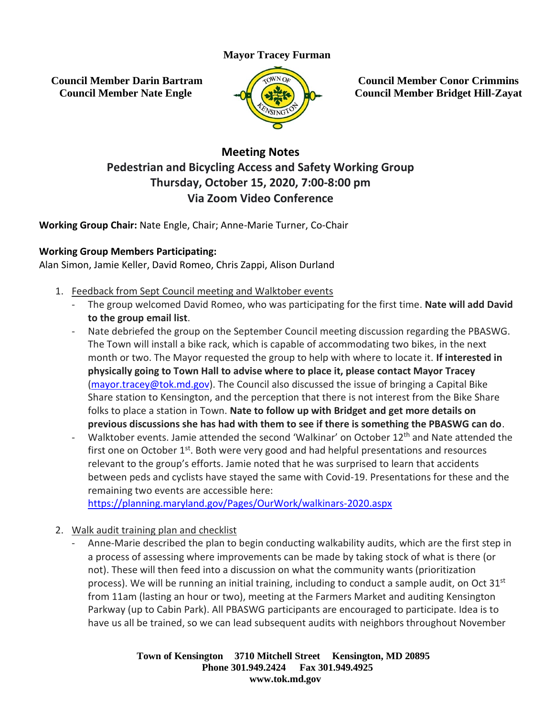## **Mayor Tracey Furman**

**Council Member Darin Bartram Council Member Nate Engle**



**Council Member Conor Crimmins Council Member Bridget Hill-Zayat**

## **Meeting Notes Pedestrian and Bicycling Access and Safety Working Group Thursday, October 15, 2020, 7:00-8:00 pm Via Zoom Video Conference**

**Working Group Chair:** Nate Engle, Chair; Anne-Marie Turner, Co-Chair

## **Working Group Members Participating:**

Alan Simon, Jamie Keller, David Romeo, Chris Zappi, Alison Durland

- 1. Feedback from Sept Council meeting and Walktober events
	- The group welcomed David Romeo, who was participating for the first time. **Nate will add David to the group email list**.
	- Nate debriefed the group on the September Council meeting discussion regarding the PBASWG. The Town will install a bike rack, which is capable of accommodating two bikes, in the next month or two. The Mayor requested the group to help with where to locate it. **If interested in physically going to Town Hall to advise where to place it, please contact Mayor Tracey** [\(mayor.tracey@tok.md.gov\)](mailto:mayor.tracey@tok.md.gov). The Council also discussed the issue of bringing a Capital Bike Share station to Kensington, and the perception that there is not interest from the Bike Share folks to place a station in Town. **Nate to follow up with Bridget and get more details on previous discussions she has had with them to see if there is something the PBASWG can do**.
	- Walktober events. Jamie attended the second 'Walkinar' on October 12<sup>th</sup> and Nate attended the first one on October 1<sup>st</sup>. Both were very good and had helpful presentations and resources relevant to the group's efforts. Jamie noted that he was surprised to learn that accidents between peds and cyclists have stayed the same with Covid-19. Presentations for these and the remaining two events are accessible here:

<https://planning.maryland.gov/Pages/OurWork/walkinars-2020.aspx>

- 2. Walk audit training plan and checklist
	- Anne-Marie described the plan to begin conducting walkability audits, which are the first step in a process of assessing where improvements can be made by taking stock of what is there (or not). These will then feed into a discussion on what the community wants (prioritization process). We will be running an initial training, including to conduct a sample audit, on Oct 31<sup>st</sup> from 11am (lasting an hour or two), meeting at the Farmers Market and auditing Kensington Parkway (up to Cabin Park). All PBASWG participants are encouraged to participate. Idea is to have us all be trained, so we can lead subsequent audits with neighbors throughout November

**Town of Kensington 3710 Mitchell Street Kensington, MD 20895 Phone 301.949.2424 Fax 301.949.4925 www.tok.md.gov**